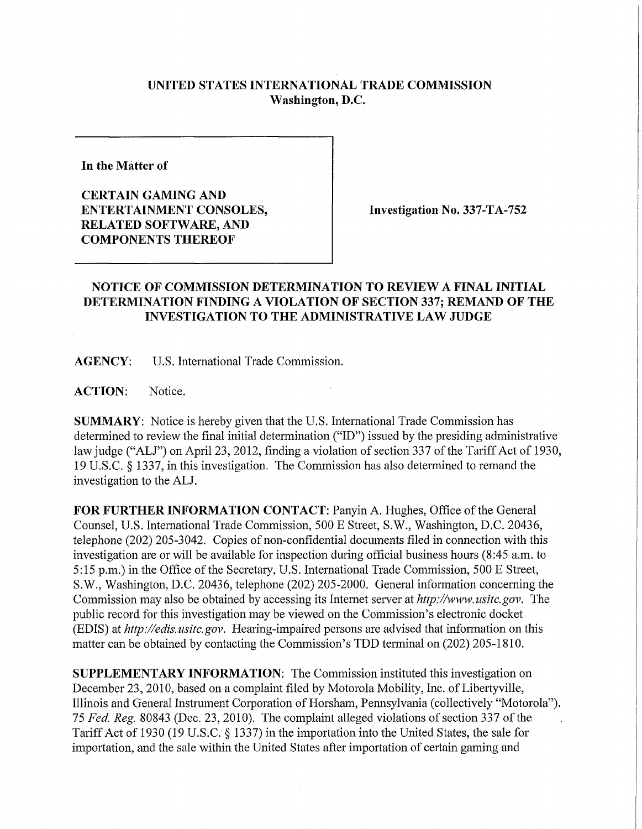## **UNITED STATES INTERNATIONAL TRADE COMMISSION Washington, D.C.**

**In the Matter of** 

**CERTAIN GAMING AND ENTERTAINMENT CONSOLES, RELATED SOFTWARE, AND COMPONENTS THEREOF** 

**Investigation No. 337-TA-752** 

## **NOTICE OF COMMISSION DETERMINATION TO REVIEW A FINAL INITIAL DETERMINATION FINDING A VIOLATION OF SECTION 337; REMAND OF THE INVESTIGATION TO THE ADMINISTRATIVE LAW JUDGE**

**AGENCY:** U.S. International Trade Commission.

**ACTION:** Notice.

**SUMMARY:** Notice is hereby given that the U.S. International Trade Commission has determined to review the final initial determination ("ID") issued by the presiding administrative law judge ("ALJ") on April 23, 2012, finding a violation of section 337 of the Tariff Act of 1930, 19 U.S.C. § 1337, in this investigation. The Commission has also determined to remand the investigation to the ALJ.

**FOR FURTHER INFORMATION CONTACT: Panyin A. Hughes, Office of the General** Counsel, U.S. International Trade Commission, 500 E Street, S.W., Washington, D.C. 20436, telephone (202) 205-3042. Copies of non-confidential documents filed in connection with this investigation are or will be available for inspection during official business hours (8:45 a.m. to 5:15 p.m.) in the Office of the Secretary, U.S. International Trade Commission, 500 E Street, S.W., Washington, D.C. 20436, telephone (202) 205-2000. General information concerning the Commission may also be obtained by accessing its Internet server at *http://www. usitc. gov.* The public record for this investigation may be viewed on the Commission's electronic docket (EDIS) at *http://edis.usitc.gov.* Hearing-impaired persons are advised that information on this matter can be obtained by contacting the Commission's TDD terminal on (202) 205-1810.

**SUPPLEMENTARY INFORMATION:** The Commission instituted this investigation on December 23, 2010, based on a complaint filed by Motorola Mobility, Inc. of Libertyville, Illinois and General Instrument Corporation of Horsham, Pennsylvania (collectively "Motorola"). 75 Fed. Reg. 80843 (Dec. 23, 2010). The complaint alleged violations of section 337 of the Tariff Act of 1930 (19 U.S.C. § 1337) in the importation into the United States, the sale for importation, and the sale within the United States after importation of certain gaming and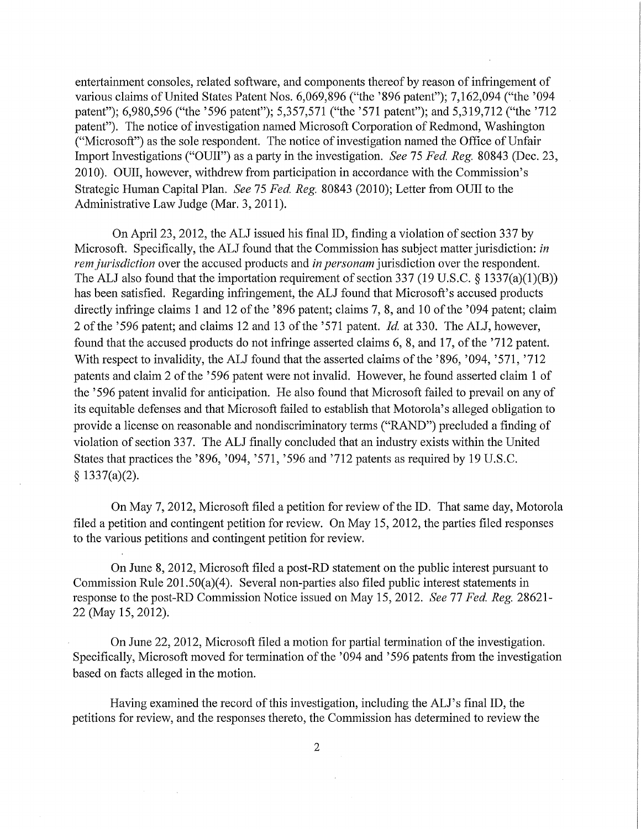entertainment consoles, related software, and components thereof by reason of infringement of various claims of United States Patent Nos. 6,069,896 ("the '896 patent"); 7,162,094 ("the '094 patent"); 6,980,596 ("the '596 patent"); 5,357,571 ("the '571 patent"); and 5,319,712 ("the '712 patent"). The notice of investigation named Microsoft Corporation of Redmond, Washington ("Microsoft") as the sole respondent. The notice of investigation named the Office of Unfair Import Investigations ("OUII") as a party in the investigation. *See* 75 *Fed. Reg.* 80843 (Dec. 23, 2010). OUII, however, withdrew from participation in accordance with the Commission's Strategic Human Capital Plan. *See* 75 *Fed, Reg.* 80843 (2010); Letter from OUII to the Administrative Law Judge (Mar. 3, 2011).

On April 23, 2012, the ALJ issued his final ID, finding a violation of section 337 by Microsoft. Specifically, the ALJ found that the Commission has subject matter jurisdiction: *in rem jurisdiction* over the accused products and *in personam* jurisdiction over the respondent. The ALJ also found that the importation requirement of section 337 (19 U.S.C. § 1337(a)(1)(B)) has been satisfied. Regarding infringement, the ALJ found that Microsoft's accused products directly infringe claims 1 and 12 of the '896 patent; claims 7, 8, and 10 of the '094 patent; claim 2 of the '596 patent; and claims 12 and 13 of the '571 patent. *Id,* at 330. The ALJ, however, found that the accused products do not infringe asserted claims 6, 8, and 17, of the '712 patent. With respect to invalidity, the ALJ found that the asserted claims of the '896, '094, '571, '712 patents and claim 2 of the '596 patent were not invalid. However, he found asserted claim 1 of the '596 patent invalid for anticipation. He also found that Microsoft failed to prevail on any of its equitable defenses and that Microsoft failed to establish that Motorola's alleged obligation to provide a license on reasonable and nondiscriminatory terms ("RAND") precluded a finding of violation of section 337. The ALJ finally concluded that an industiy exists within the United States that practices the '896, '094, '571, '596 and '712 patents as required by 19 U.S.C. § 1337(a)(2).

On May 7, 2012, Microsoft filed a petition for review of the ID. That same day, Motorola filed a petition and contingent petition for review. On May 15, 2012, the parties filed responses to the various petitions and contingent petition for review.

On June 8, 2012, Microsoft filed a post-RD statement on the public interest pursuant to Commission Rule 201.50(a)(4). Several non-parties also filed public interest statements in response to the post-RD Commission Notice issued on May 15, 2012. *See 11 Fed, Reg.* 28621- 22 (May 15,2012).

On June 22, 2012, Microsoft filed a motion for partial termination of the investigation. Specifically, Microsoft moved for termination of the '094 and '596 patents from the investigation based on facts alleged in the motion.

Having examined the record of this investigation, including the ALJ's final ID, the petitions for review, and the responses thereto, the Commission has determined to review the